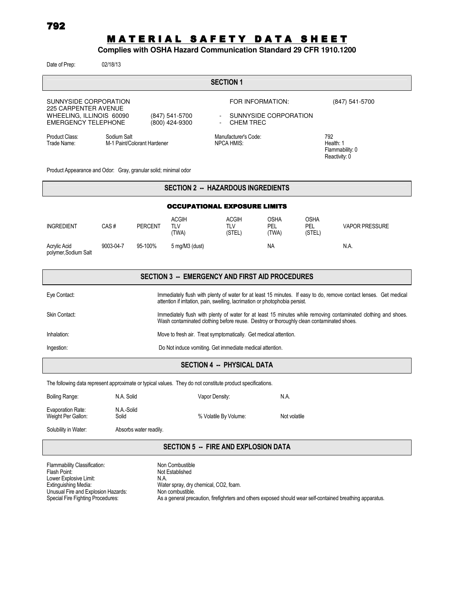# MATERIAL SAFETY DATA SHEET

# **Complies with OSHA Hazard Communication Standard 29 CFR 1910.1200**

Date of Prep: 02/18/13

| <b>SECTION 1</b>                                                                                                                                   |           |                |                                           |                                                                         |                             |                                                      |                       |
|----------------------------------------------------------------------------------------------------------------------------------------------------|-----------|----------------|-------------------------------------------|-------------------------------------------------------------------------|-----------------------------|------------------------------------------------------|-----------------------|
| SUNNYSIDE CORPORATION<br><b>225 CARPENTER AVENUE</b><br>WHEELING, ILLINOIS 60090<br>(847) 541-5700<br>(800) 424-9300<br><b>EMERGENCY TELEPHONE</b> |           |                |                                           | FOR INFORMATION:<br>SUNNYSIDE CORPORATION<br>$\sim$<br><b>CHEM TREC</b> |                             |                                                      | (847) 541-5700        |
| Product Class:<br>Sodium Salt<br>M-1 Paint/Colorant Hardener<br>Trade Name:                                                                        |           |                | Manufacturer's Code:<br><b>NPCA HMIS:</b> |                                                                         |                             | 792<br>Health: 1<br>Flammability: 0<br>Reactivity: 0 |                       |
| Product Appearance and Odor: Gray, granular solid; minimal odor                                                                                    |           |                |                                           |                                                                         |                             |                                                      |                       |
| <b>SECTION 2 -- HAZARDOUS INGREDIENTS</b>                                                                                                          |           |                |                                           |                                                                         |                             |                                                      |                       |
| <b>OCCUPATIONAL EXPOSURE LIMITS</b>                                                                                                                |           |                |                                           |                                                                         |                             |                                                      |                       |
| <b>INGREDIENT</b>                                                                                                                                  | CAS#      | <b>PERCENT</b> | <b>ACGIH</b><br>TI V<br>(TWA)             | <b>ACGIH</b><br><b>TLV</b><br>(STEL)                                    | <b>OSHA</b><br>PEL<br>(TWA) | <b>OSHA</b><br><b>PEL</b><br>(STEL)                  | <b>VAPOR PRESSURE</b> |
| Acrylic Acid<br>polymer, Sodium Salt                                                                                                               | 9003-04-7 | 95-100%        | $5$ mg/M $3$ (dust)                       |                                                                         | <b>NA</b>                   |                                                      | N.A.                  |

# SECTION 3 -- EMERGENCY AND FIRST AID PROCEDURES

| Eye Contact:  | Immediately flush with plenty of water for at least 15 minutes. If easy to do, remove contact lenses. Get medical<br>attention if irritation, pain, swelling, lacrimation or photophobia persist.          |
|---------------|------------------------------------------------------------------------------------------------------------------------------------------------------------------------------------------------------------|
| Skin Contact: | Immediately flush with plenty of water for at least 15 minutes while removing contaminated clothing and shoes.<br>Wash contaminated clothing before reuse. Destroy or thoroughly clean contaminated shoes. |
| Inhalation:   | Move to fresh air. Treat symptomatically. Get medical attention.                                                                                                                                           |
| Ingestion:    | Do Not induce vomiting. Get immediate medical attention.                                                                                                                                                   |

## SECTION 4 -- PHYSICAL DATA

The following data represent approximate or typical values. They do not constitute product specifications.

| Boiling Range:                          | N.A. Solid          | Vapor Density:        | N.A.         |
|-----------------------------------------|---------------------|-----------------------|--------------|
| Evaporation Rate:<br>Weight Per Gallon: | N.A.-Solid<br>Solid | % Volatile By Volume: | Not volatile |

Solubility in Water: Absorbs water readily.

#### SECTION 5 -- FIRE AND EXPLOSION DATA

| Flammability Classification:        | Non Combustible                                                                                          |
|-------------------------------------|----------------------------------------------------------------------------------------------------------|
| Flash Point:                        | Not Established                                                                                          |
| Lower Explosive Limit:              | N.A.                                                                                                     |
| Extinguishing Media:                | Water spray, dry chemical, CO2, foam.                                                                    |
| Unusual Fire and Explosion Hazards: | Non combustible.                                                                                         |
| Special Fire Fighting Procedures:   | As a general precaution, firefighters and others exposed should wear self-contained breathing apparatus. |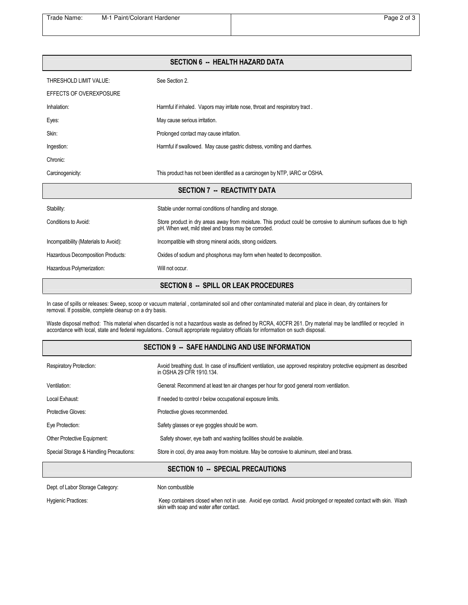| <b>SECTION 6 -- HEALTH HAZARD DATA</b> |                                                                                                                                                                        |  |
|----------------------------------------|------------------------------------------------------------------------------------------------------------------------------------------------------------------------|--|
| THRESHOLD LIMIT VALUE:                 | See Section 2.                                                                                                                                                         |  |
| EFFECTS OF OVEREXPOSURE                |                                                                                                                                                                        |  |
| Inhalation:                            | Harmful if inhaled. Vapors may irritate nose, throat and respiratory tract.                                                                                            |  |
| Eyes:                                  | May cause serious irritation.                                                                                                                                          |  |
| Skin:                                  | Prolonged contact may cause irritation.                                                                                                                                |  |
| Ingestion:                             | Harmful if swallowed. May cause gastric distress, vomiting and diarrhes.                                                                                               |  |
| Chronic:                               |                                                                                                                                                                        |  |
| Carcinogenicity:                       | This product has not been identified as a carcinogen by NTP, IARC or OSHA.                                                                                             |  |
|                                        | <b>SECTION 7 -- REACTIVITY DATA</b>                                                                                                                                    |  |
| Stability:                             | Stable under normal conditions of handling and storage.                                                                                                                |  |
| Conditions to Avoid:                   | Store product in dry areas away from moisture. This product could be corrosive to aluminum surfaces due to high<br>pH. When wet, mild steel and brass may be corroded. |  |
| Incompatibility (Materials to Avoid):  | Incompatible with strong mineral acids, strong oxidizers.                                                                                                              |  |
| Hazardous Decomposition Products:      | Oxides of sodium and phosphorus may form when heated to decomposition.                                                                                                 |  |
| Hazardous Polymerization:              | Will not occur.                                                                                                                                                        |  |
|                                        | <b>SECTION 8 -- SPILL OR LEAK PROCEDURES</b>                                                                                                                           |  |

In case of spills or releases: Sweep, scoop or vacuum material , contaminated soil and other contaminated material and place in clean, dry containers for removal. If possible, complete cleanup on a dry basis.

Waste disposal method: This material when discarded is not a hazardous waste as defined by RCRA, 40CFR 261. Dry material may be landfilled or recycled in accordance with local, state and federal regulations.. Consult appropriate regulatory officials for information on such disposal.

| <b>Respiratory Protection:</b>          | Avoid breathing dust. In case of insufficient ventilation, use approved respiratory protective equipment as described<br>in OSHA 29 CFR 1910.134. |
|-----------------------------------------|---------------------------------------------------------------------------------------------------------------------------------------------------|
| Ventilation:                            | General: Recommend at least ten air changes per hour for good general room ventilation.                                                           |
| Local Exhaust:                          | If needed to control r below occupational exposure limits.                                                                                        |
| Protective Gloves:                      | Protective gloves recommended.                                                                                                                    |
| Eye Protection:                         | Safety glasses or eye goggles should be worn.                                                                                                     |
| Other Protective Equipment:             | Safety shower, eye bath and washing facilities should be available.                                                                               |
| Special Storage & Handling Precautions: | Store in cool, dry area away from moisture. May be corrosive to aluminum, steel and brass.                                                        |
|                                         |                                                                                                                                                   |

### SECTION 10 -- SPECIAL PRECAUTIONS

Dept. of Labor Storage Category: Non combustible

Hygienic Practices: **Keep containers closed when not in use**. Avoid eye contact. Avoid prolonged or repeated contact with skin. Wash skin with soap and water after contact.